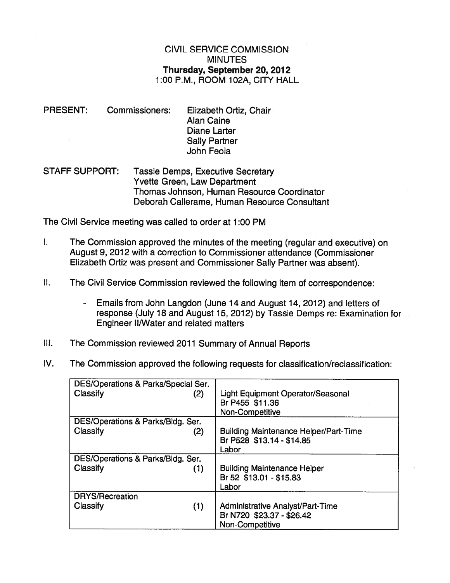## CIVIL SERVICE COMMISSION MINUTES Thursday, September 20, 2012 1:00 P.M., ROOM 102A, CITY HALL

- PRESENT: Commissioners: Elizabeth Ortiz, Chair Alan Caine Diane Larter Sally Partner John Feola
- STAFF SUPPORT: Tassie Demps, Executive Secretary Yvette Green, Law Department Thomas Johnson, Human Resource Coordinator Deborah Callerame, Human Resource Consultant

The Civil Service meeting was called to order at 1:00 PM

- I. The Commission approved the minutes of the meeting (regular and executive) on August 9, 2012 with <sup>a</sup> correction to Commissioner attendance (Commissioner Elizabeth Ortiz was presen<sup>t</sup> and Commissioner Sally Partner was absent).
- II. The Civil Service Commission reviewed the following item of correspondence:
	- Emails from John Langdon (June 14 and August 14, 2012) and letters of response (July 18 and August 15, 2012) by Tassie Demps re: Examination for Engineer Il/Water and related matters
- Ill. The Commission reviewed 2011 Summary of Annual Reports
- IV. The Commission approved the following requests for classification/reclassification:

| DES/Operations & Parks/Special Ser. |                                              |
|-------------------------------------|----------------------------------------------|
| Classify<br>(2)                     | Light Equipment Operator/Seasonal            |
|                                     | Br P455 \$11.36                              |
|                                     | Non-Competitive                              |
| DES/Operations & Parks/Bldg. Ser.   |                                              |
| Classify<br>(2)                     | <b>Building Maintenance Helper/Part-Time</b> |
|                                     | Br P528 \$13.14 - \$14.85                    |
|                                     | Labor                                        |
| DES/Operations & Parks/Bldg. Ser.   |                                              |
| Classify<br>(1)                     | <b>Building Maintenance Helper</b>           |
|                                     | Br 52 \$13.01 - \$15.83                      |
|                                     | Labor                                        |
| <b>DRYS/Recreation</b>              |                                              |
| (1)<br>Classify                     | <b>Administrative Analyst/Part-Time</b>      |
|                                     | Br N720 \$23.37 - \$26.42                    |
|                                     | Non-Competitive                              |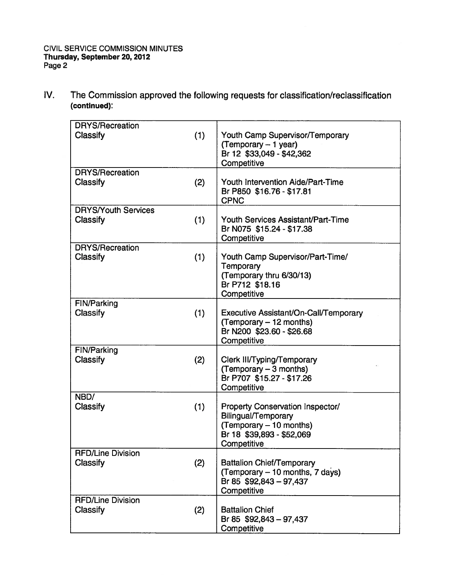| <b>DRYS/Recreation</b>         |     |                                                                                                      |
|--------------------------------|-----|------------------------------------------------------------------------------------------------------|
| Classify                       | (1) | Youth Camp Supervisor/Temporary<br>(Temporary $-1$ year)<br>Br 12 \$33,049 - \$42,362<br>Competitive |
| <b>DRYS/Recreation</b>         |     |                                                                                                      |
| <b>Classify</b>                | (2) | Youth Intervention Aide/Part-Time<br>Br P850 \$16.76 - \$17.81<br><b>CPNC</b>                        |
| <b>DRYS/Youth Services</b>     |     |                                                                                                      |
| Classify                       | (1) | Youth Services Assistant/Part-Time<br>Br N075 \$15.24 - \$17.38<br>Competitive                       |
| <b>DRYS/Recreation</b>         |     |                                                                                                      |
| Classify                       | (1) | Youth Camp Supervisor/Part-Time/                                                                     |
|                                |     | Temporary                                                                                            |
|                                |     | (Temporary thru 6/30/13)                                                                             |
|                                |     | Br P712 \$18.16                                                                                      |
|                                |     | Competitive                                                                                          |
| <b>FIN/Parking</b><br>Classify |     | Executive Assistant/On-Call/Temporary                                                                |
|                                | (1) | (Temporary - 12 months)                                                                              |
|                                |     | Br N200 \$23.60 - \$26.68                                                                            |
|                                |     | Competitive                                                                                          |
| FIN/Parking                    |     |                                                                                                      |
| <b>Classify</b>                | (2) | Clerk III/Typing/Temporary                                                                           |
|                                |     | (Temporary - 3 months)                                                                               |
|                                |     | Br P707 \$15.27 - \$17.26                                                                            |
|                                |     | Competitive                                                                                          |
| NBD/                           |     |                                                                                                      |
| Classify                       | (1) | <b>Property Conservation Inspector/</b>                                                              |
|                                |     | Bilingual/Temporary                                                                                  |
|                                |     | (Temporary - 10 months)                                                                              |
|                                |     | Br 18 \$39,893 - \$52,069                                                                            |
|                                |     | Competitive                                                                                          |
| <b>RFD/Line Division</b>       |     |                                                                                                      |
| <b>Classify</b>                | (2) | <b>Battalion Chief/Temporary</b>                                                                     |
|                                |     | (Temporary – 10 months, 7 days)                                                                      |
|                                |     | Br 85 \$92,843 - 97,437                                                                              |
|                                |     | Competitive                                                                                          |
| <b>RFD/Line Division</b>       |     |                                                                                                      |
| Classify                       | (2) | <b>Battalion Chief</b>                                                                               |
|                                |     | Br 85 \$92,843 - 97,437                                                                              |
|                                |     | Competitive                                                                                          |

IV. The Commission approved the following requests for classification/reclassification (continued):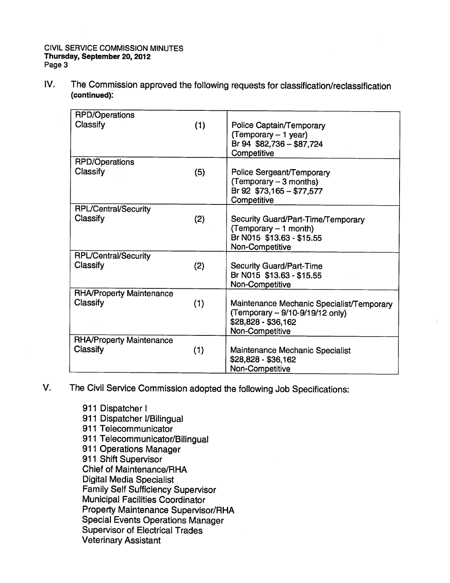IV. The Commission approved the following requests for classification/reclassification (continued):

| <b>RPD/Operations</b>           |     |                                                                                                                        |
|---------------------------------|-----|------------------------------------------------------------------------------------------------------------------------|
| Classify                        | (1) | Police Captain/Temporary<br>(Temporary - 1 year)<br>Br 94 \$82,736 - \$87,724<br>Competitive                           |
| <b>RPD/Operations</b>           |     |                                                                                                                        |
| Classify                        | (5) | Police Sergeant/Temporary<br>(Temporary - 3 months)<br>Br 92 \$73,165 - \$77,577<br>Competitive                        |
| <b>RPL/Central/Security</b>     |     |                                                                                                                        |
| Classify                        | (2) | Security Guard/Part-Time/Temporary<br>$(Temporary - 1 month)$<br>Br N015 \$13.63 - \$15.55<br>Non-Competitive          |
| RPL/Central/Security            |     |                                                                                                                        |
| Classify                        | (2) | <b>Security Guard/Part-Time</b><br>Br N015 \$13.63 - \$15.55<br>Non-Competitive                                        |
| <b>RHA/Property Maintenance</b> |     |                                                                                                                        |
| Classify                        | (1) | Maintenance Mechanic Specialist/Temporary<br>(Temporary - 9/10-9/19/12 only)<br>\$28,828 - \$36,162<br>Non-Competitive |
| <b>RHA/Property Maintenance</b> |     |                                                                                                                        |
| Classify                        | (1) | Maintenance Mechanic Specialist<br>\$28,828 - \$36,162<br>Non-Competitive                                              |

- V. The Civil Service Commission adopted the following Job Specifications:
	- 911 Dispatcher I 911 Dispatcher I/Bilingual 911 Telecommunicator <sup>911</sup> Telecommunicator/Bilingual 911 Operations Manager 911 Shift Supervisor Chief of Maintenance/RHA Digital Media Specialist Family Self Sufficiency Supervisor Municipal Facilities Coordinator Property Maintenance Supervisor/RHA Special Events Operations Manager Supervisor of Electrical Trades Veterinary Assistant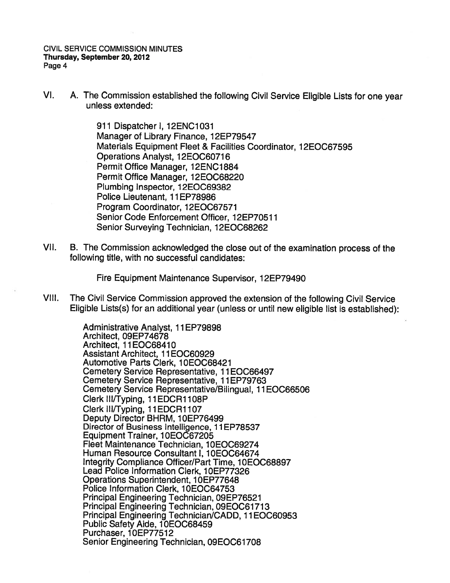VI. A. The Commission established the following Civil Service Eligible Lists for one year unless extended:

> 911 Dispatcher I, 12ENC1O31 Manager of Library Finance, 12EP79547 Materials Equipment Fleet & Facilities Coordinator, 12EOC67595 Operations Analyst, 12EOC60716 Permit Office Manager, 12ENC1884 Permit Office Manager, 12EOC68220 Plumbing Inspector, 12E0C69382 Police Lieutenant, 11 EP78986 Program Coordinator, 12E0C67571 Senior Code Enforcement Officer, 12EP70511 Senior Surveying Technician, 12E0C68262

VII. B. The Commission acknowledged the close out of the examination process of the following title, with no successful candidates:

Fire Equipment Maintenance Supervisor, 12EP79490

VIII. The Civil Service Commission approve<sup>d</sup> the extension of the following Civil Service Eligible Lists(s) for an additional year (unless or until new eligible list is established):

> Administrative Analyst, 11 EP79898 Architect, 09EP74678 Architect, 11EOC68410 Assistant Architect, 11EOC60929 Automotive Parts Clerk, 10EOC68421 Cemetery Service Representative, 11 EOC66497 Cemetery Service Representative, 11EP79763 Cemetery Service Representative/Bilingual, 11EOC66506 Clerk III/Typing, 11 EDCR1108P Clerk III/Typing, 11EDCR1107 Deputy Director BHRM, 10EP76499 Director of Business Intelligence, 11EP78537 Equipment Trainer, 10EOC67205 Fleet Maintenance Technician, 10EOC69274 Human Resource Consultant I, 10E0C64674 Integrity Compliance Officer/Part Time, 10EOC68897 Lead Police Information Clerk, 10EP77326 Operations Superintendent, 10EP77648 Police Information Clerk, 10EOC64753 Principal Engineering Technician, 09EP76521 Principal Engineering Technician, 09EOC61713 Principal Engineering Technician/CADD, 11 E0C60953 Public Safety Aide, 10EOC68459 Purchaser, 10EP77512 Senior Engineering Technician, 09EOC61708